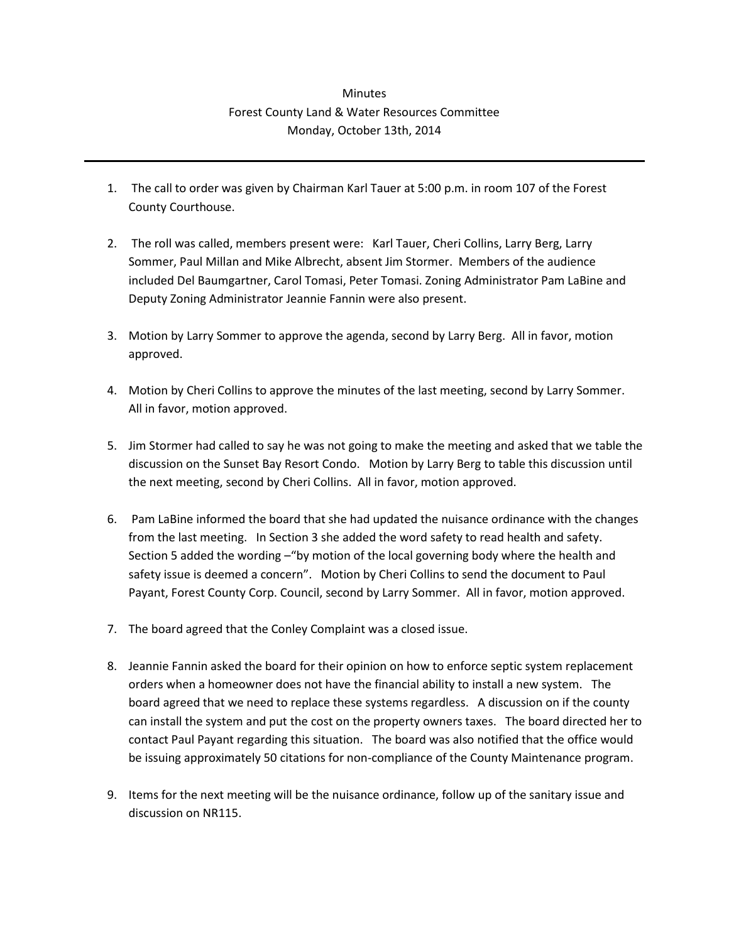## **Minutes** Forest County Land & Water Resources Committee Monday, October 13th, 2014

- 1. The call to order was given by Chairman Karl Tauer at 5:00 p.m. in room 107 of the Forest County Courthouse.
- 2. The roll was called, members present were: Karl Tauer, Cheri Collins, Larry Berg, Larry Sommer, Paul Millan and Mike Albrecht, absent Jim Stormer. Members of the audience included Del Baumgartner, Carol Tomasi, Peter Tomasi. Zoning Administrator Pam LaBine and Deputy Zoning Administrator Jeannie Fannin were also present.
- 3. Motion by Larry Sommer to approve the agenda, second by Larry Berg. All in favor, motion approved.
- 4. Motion by Cheri Collins to approve the minutes of the last meeting, second by Larry Sommer. All in favor, motion approved.
- 5. Jim Stormer had called to say he was not going to make the meeting and asked that we table the discussion on the Sunset Bay Resort Condo. Motion by Larry Berg to table this discussion until the next meeting, second by Cheri Collins. All in favor, motion approved.
- 6. Pam LaBine informed the board that she had updated the nuisance ordinance with the changes from the last meeting. In Section 3 she added the word safety to read health and safety. Section 5 added the wording –"by motion of the local governing body where the health and safety issue is deemed a concern". Motion by Cheri Collins to send the document to Paul Payant, Forest County Corp. Council, second by Larry Sommer. All in favor, motion approved.
- 7. The board agreed that the Conley Complaint was a closed issue.
- 8. Jeannie Fannin asked the board for their opinion on how to enforce septic system replacement orders when a homeowner does not have the financial ability to install a new system. The board agreed that we need to replace these systems regardless. A discussion on if the county can install the system and put the cost on the property owners taxes. The board directed her to contact Paul Payant regarding this situation. The board was also notified that the office would be issuing approximately 50 citations for non-compliance of the County Maintenance program.
- 9. Items for the next meeting will be the nuisance ordinance, follow up of the sanitary issue and discussion on NR115.